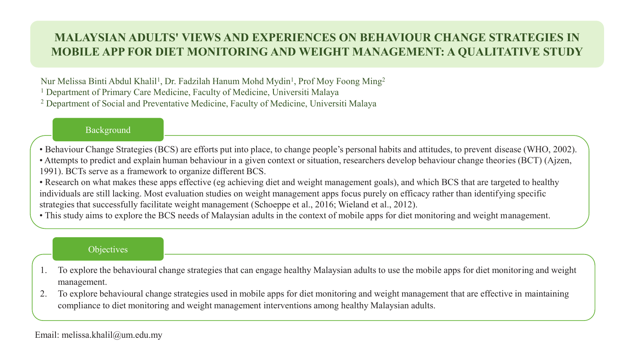# **MALAYSIAN ADULTS' VIEWS AND EXPERIENCES ON BEHAVIOUR CHANGE STRATEGIES IN MOBILE APP FOR DIET MONITORING AND WEIGHT MANAGEMENT: A QUALITATIVE STUDY**

Nur Melissa Binti Abdul Khalil<sup>1</sup>, Dr. Fadzilah Hanum Mohd Mydin<sup>1</sup>, Prof Moy Foong Ming<sup>2</sup> <sup>1</sup> Department of Primary Care Medicine, Faculty of Medicine, Universiti Malaya <sup>2</sup> Department of Social and Preventative Medicine, Faculty of Medicine, Universiti Malaya

#### Background

- Behaviour Change Strategies (BCS) are efforts put into place, to change people's personal habits and attitudes, to prevent disease (WHO, 2002).
- Attempts to predict and explain human behaviour in a given context or situation, researchers develop behaviour change theories (BCT) (Ajzen, 1991). BCTs serve as a framework to organize different BCS.
- Research on what makes these apps effective (eg achieving diet and weight management goals), and which BCS that are targeted to healthy individuals are still lacking. Most evaluation studies on weight management apps focus purely on efficacy rather than identifying specific strategies that successfully facilitate weight management (Schoeppe et al., 2016; Wieland et al., 2012).
- This study aims to explore the BCS needs of Malaysian adults in the context of mobile apps for diet monitoring and weight management.

#### **Objectives**

- 1. To explore the behavioural change strategies that can engage healthy Malaysian adults to use the mobile apps for diet monitoring and weight management.
- 2. To explore behavioural change strategies used in mobile apps for diet monitoring and weight management that are effective in maintaining compliance to diet monitoring and weight management interventions among healthy Malaysian adults.

### Email: melissa.khalil@um.edu.my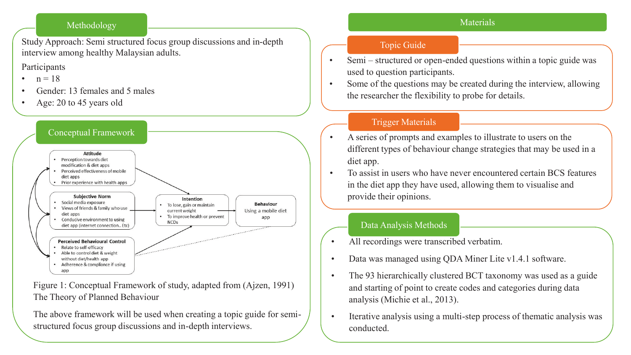### Materials

#### Methodology

Study Approach: Semi structured focus group discussions and in-depth interview among healthy Malaysian adults.

## Participants

- $n = 18$
- Gender: 13 females and 5 males
- Age: 20 to 45 years old



Figure 1: Conceptual Framework of study, adapted from (Ajzen, 1991) The Theory of Planned Behaviour

The above framework will be used when creating a topic guide for semistructured focus group discussions and in-depth interviews.

## Topic Guide

- Semi structured or open-ended questions within a topic guide was used to question participants.
- Some of the questions may be created during the interview, allowing the researcher the flexibility to probe for details.

## Trigger Materials

- A series of prompts and examples to illustrate to users on the different types of behaviour change strategies that may be used in a diet app.
- To assist in users who have never encountered certain BCS features in the diet app they have used, allowing them to visualise and provide their opinions.

## Data Analysis Methods

- All recordings were transcribed verbatim.
- Data was managed using QDA Miner Lite v1.4.1 software.
- The 93 hierarchically clustered BCT taxonomy was used as a guide and starting of point to create codes and categories during data analysis (Michie et al., 2013).
- Iterative analysis using a multi-step process of thematic analysis was conducted.